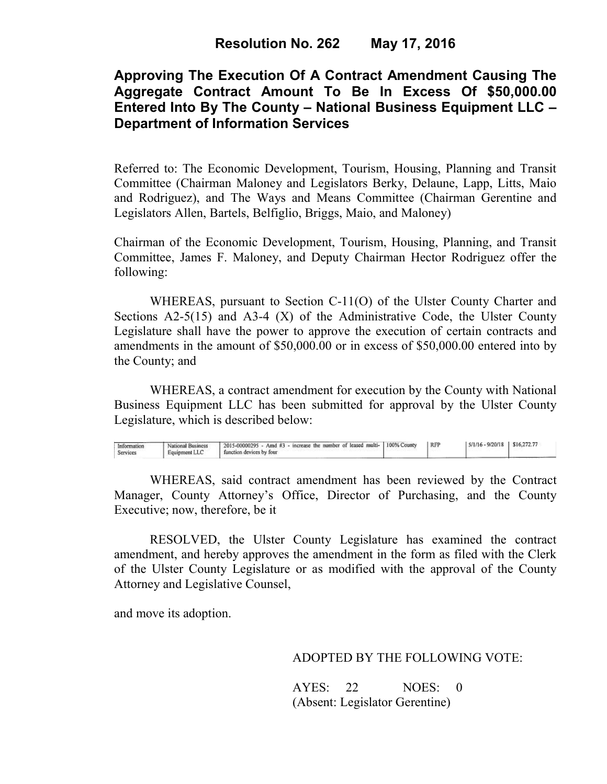# **Approving The Execution Of A Contract Amendment Causing The Aggregate Contract Amount To Be In Excess Of \$50,000.00 Entered Into By The County – National Business Equipment LLC – Department of Information Services**

Referred to: The Economic Development, Tourism, Housing, Planning and Transit Committee (Chairman Maloney and Legislators Berky, Delaune, Lapp, Litts, Maio and Rodriguez), and The Ways and Means Committee (Chairman Gerentine and Legislators Allen, Bartels, Belfiglio, Briggs, Maio, and Maloney)

Chairman of the Economic Development, Tourism, Housing, Planning, and Transit Committee, James F. Maloney, and Deputy Chairman Hector Rodriguez offer the following:

WHEREAS, pursuant to Section C-11(O) of the Ulster County Charter and Sections  $A2-5(15)$  and  $A3-4(X)$  of the Administrative Code, the Ulster County Legislature shall have the power to approve the execution of certain contracts and amendments in the amount of \$50,000.00 or in excess of \$50,000.00 entered into by the County; and

 WHEREAS, a contract amendment for execution by the County with National Business Equipment LLC has been submitted for approval by the Ulster County Legislature, which is described below:

| Information<br>Services | National Business<br>Equipment LLC | 1 2015-00000295 - Amd #3 - increase the number of leased multi- 100% County<br>function devices by four | <b>RFP</b> | $5/1/16 - 9/20/18$ S16.272.77 |  |
|-------------------------|------------------------------------|---------------------------------------------------------------------------------------------------------|------------|-------------------------------|--|
|                         |                                    |                                                                                                         |            |                               |  |

WHEREAS, said contract amendment has been reviewed by the Contract Manager, County Attorney's Office, Director of Purchasing, and the County Executive; now, therefore, be it

RESOLVED, the Ulster County Legislature has examined the contract amendment, and hereby approves the amendment in the form as filed with the Clerk of the Ulster County Legislature or as modified with the approval of the County Attorney and Legislative Counsel,

and move its adoption.

ADOPTED BY THE FOLLOWING VOTE:

AYES: 22 NOES: 0 (Absent: Legislator Gerentine)